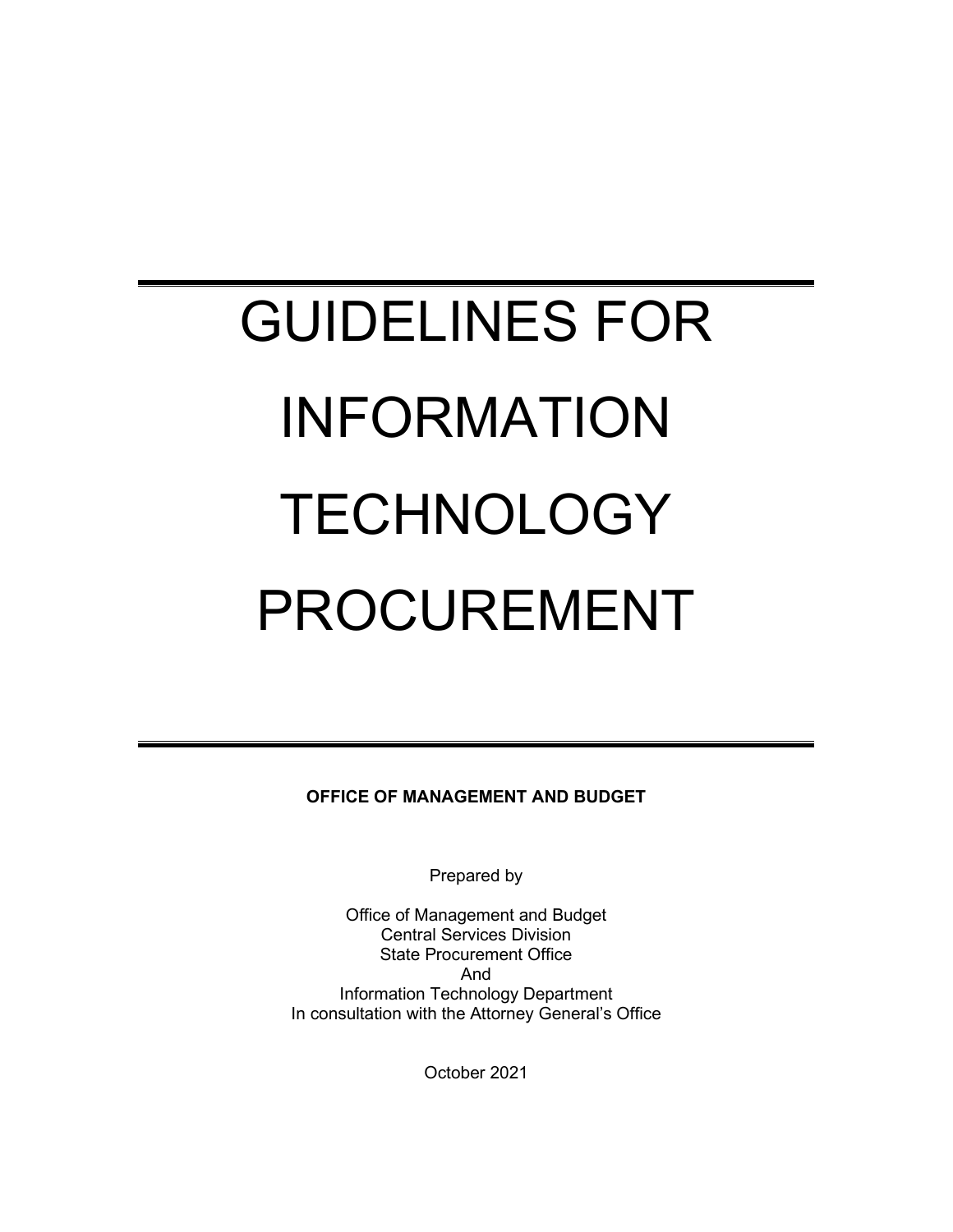# GUIDELINES FOR INFORMATION **TECHNOLOGY** PROCUREMENT

**OFFICE OF MANAGEMENT AND BUDGET**

Prepared by

Office of Management and Budget Central Services Division State Procurement Office And Information Technology Department In consultation with the Attorney General's Office

October 2021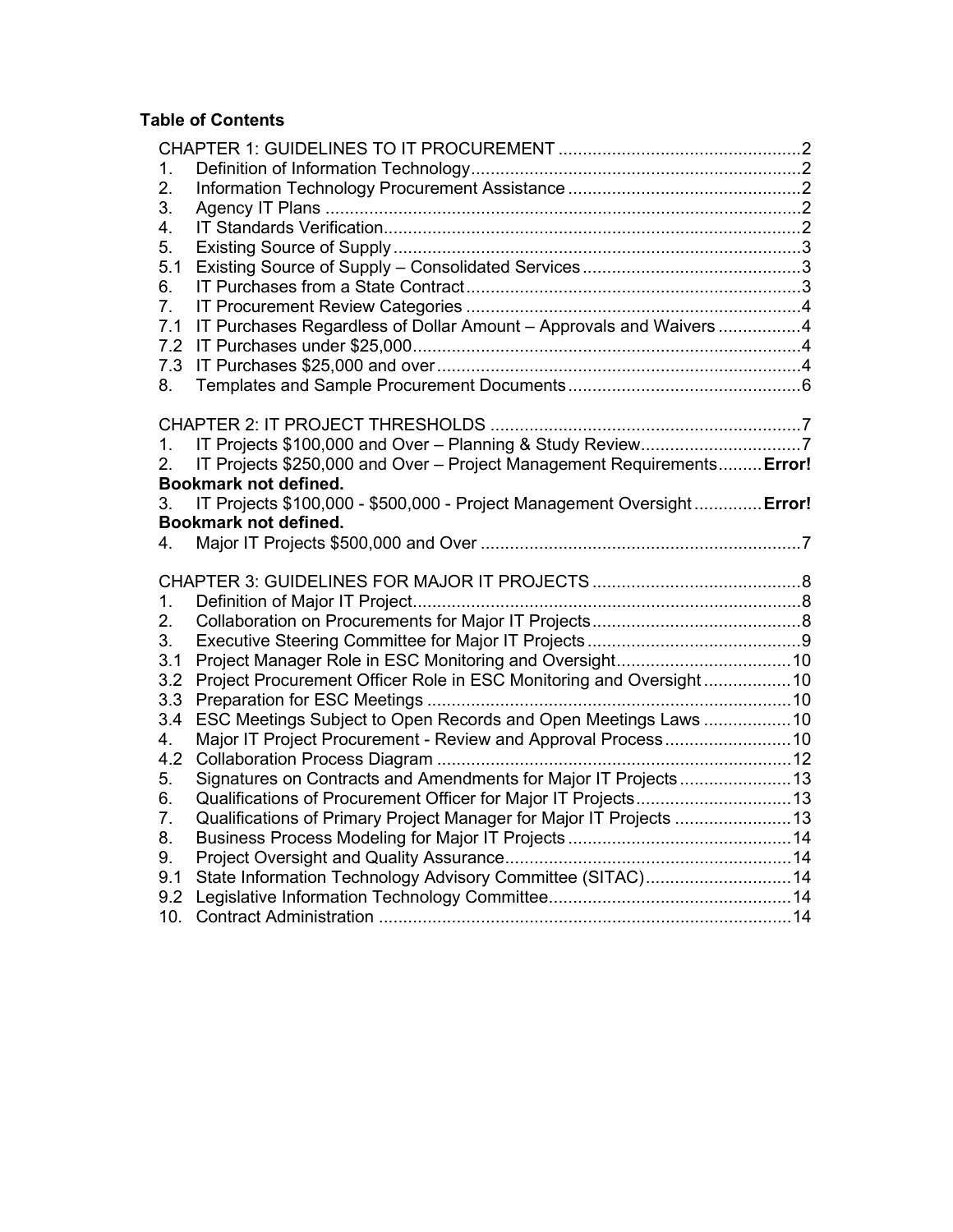# **Table of Contents**

| 1.             |                                                                         |  |
|----------------|-------------------------------------------------------------------------|--|
| 2.             |                                                                         |  |
| 3.             |                                                                         |  |
| 4.             |                                                                         |  |
| 5.             |                                                                         |  |
| 5.1            |                                                                         |  |
| 6.             |                                                                         |  |
| 7.             |                                                                         |  |
| 7.1            | IT Purchases Regardless of Dollar Amount - Approvals and Waivers 4      |  |
| 7.2            |                                                                         |  |
| 7.3            |                                                                         |  |
| 8.             |                                                                         |  |
|                |                                                                         |  |
|                |                                                                         |  |
| 1.             |                                                                         |  |
| 2.             | IT Projects \$250,000 and Over - Project Management Requirements Error! |  |
|                | Bookmark not defined.                                                   |  |
| 3.             | IT Projects \$100,000 - \$500,000 - Project Management Oversight Error! |  |
|                | Bookmark not defined.                                                   |  |
| 4.             |                                                                         |  |
|                |                                                                         |  |
|                |                                                                         |  |
| 1.             |                                                                         |  |
| 2.             |                                                                         |  |
| 3.             |                                                                         |  |
| 3.1            |                                                                         |  |
| 3.2            | Project Procurement Officer Role in ESC Monitoring and Oversight10      |  |
| 3.3            |                                                                         |  |
| 3.4            | ESC Meetings Subject to Open Records and Open Meetings Laws 10          |  |
| 4.             |                                                                         |  |
| 4.2            |                                                                         |  |
| 5.             | Signatures on Contracts and Amendments for Major IT Projects13          |  |
| 6.             |                                                                         |  |
| 7 <sub>1</sub> | Qualifications of Primary Project Manager for Major IT Projects 13      |  |
| 8.             |                                                                         |  |
| 9.             |                                                                         |  |
| 9.1            | State Information Technology Advisory Committee (SITAC) 14              |  |
| 9.2            |                                                                         |  |
| 10.            |                                                                         |  |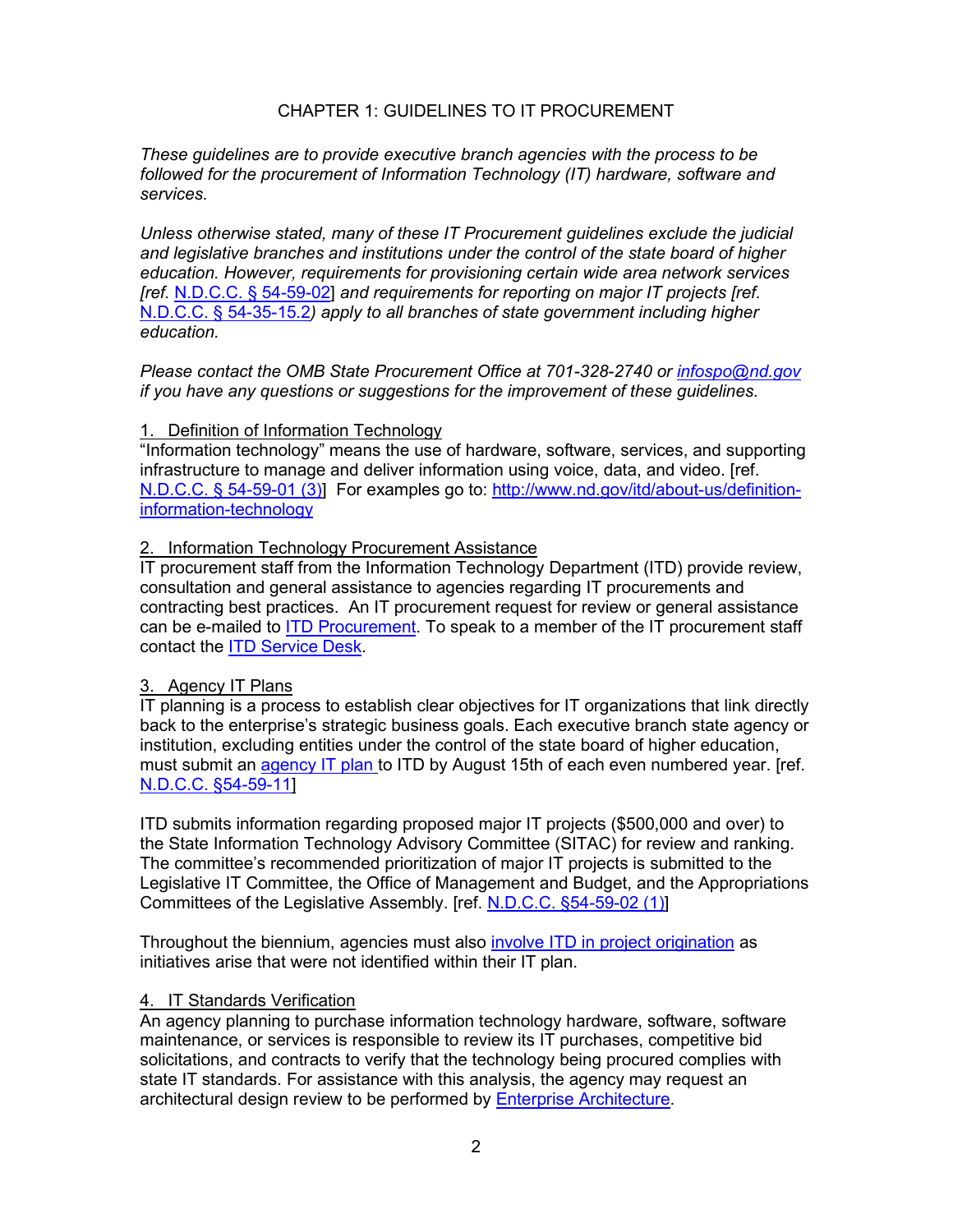# CHAPTER 1: GUIDELINES TO IT PROCUREMENT

<span id="page-2-0"></span>*These guidelines are to provide executive branch agencies with the process to be followed for the procurement of Information Technology (IT) hardware, software and services.* 

*Unless otherwise stated, many of these IT Procurement guidelines exclude the judicial and legislative branches and institutions under the control of the state board of higher education. However, requirements for provisioning certain wide area network services [ref.* [N.D.C.C. §](http://www.legis.nd.gov/cencode/t54c59.pdf?20130705151814) 54-59-02] *and requirements for reporting on major IT projects [ref.*  [N.D.C.C. §](http://www.legis.nd.gov/cencode/t54c35.pdf?20130705152150) 54-35-15.2*) apply to all branches of state government including higher education.*

*Please contact the OMB State Procurement Office at 701-328-2740 or [infospo@nd.gov](mailto:infospo@nd.gov) if you have any questions or suggestions for the improvement of these guidelines.* 

#### <span id="page-2-1"></span>1. Definition of Information Technology

"Information technology" means the use of hardware, software, services, and supporting infrastructure to manage and deliver information using voice, data, and video. [ref. [N.D.C.C. § 54-59-01 \(3\)\]](http://www.legis.nd.gov/cencode/t54c59.pdf?20151104082937) For examples go to: [http://www.nd.gov/itd/about-us/definition](http://www.nd.gov/itd/about-us/definition-information-technology)[information-technology](http://www.nd.gov/itd/about-us/definition-information-technology)

#### <span id="page-2-2"></span>2. Information Technology Procurement Assistance

IT procurement staff from the Information Technology Department (ITD) provide review, consultation and general assistance to agencies regarding IT procurements and contracting best practices. An IT procurement request for review or general assistance can be e-mailed to [ITD Procurement.](mailto:ITDProcurement@nd.gov) To speak to a member of the IT procurement staff contact the [ITD Service Desk.](http://www.nd.gov/itd/support)

# <span id="page-2-3"></span>3. Agency IT Plans

IT planning is a process to establish clear objectives for IT organizations that link directly back to the enterprise's strategic business goals. Each executive branch state agency or institution, excluding entities under the control of the state board of higher education, must submit an [agency IT plan](http://www.nd.gov/itd/services/it-planning) to ITD by August 15th of each even numbered year. [ref. [N.D.C.C. §54-59-11\]](http://www.legis.nd.gov/cencode/t54c59.pdf?20130705151814)

ITD submits information regarding proposed major IT projects (\$500,000 and over) to the State Information Technology Advisory Committee (SITAC) for review and ranking. The committee's recommended prioritization of major IT projects is submitted to the Legislative IT Committee, the Office of Management and Budget, and the Appropriations Committees of the Legislative Assembly. [ref. [N.D.C.C. §54-59-02 \(1\)\]](http://www.legis.nd.gov/cencode/t54c59.pdf?20151104082937)

Throughout the biennium, agencies must also [involve ITD in project origination](https://www.nd.gov/itd/services/project-exploration) as initiatives arise that were not identified within their IT plan.

# <span id="page-2-4"></span>4. IT Standards Verification

An agency planning to purchase information technology hardware, software, software maintenance, or services is responsible to review its IT purchases, competitive bid solicitations, and contracts to verify that the technology being procured complies with state IT standards. For assistance with this analysis, the agency may request an architectural design review to be performed by [Enterprise Architecture.](http://www.nd.gov/itd/services/enterprise-architecture)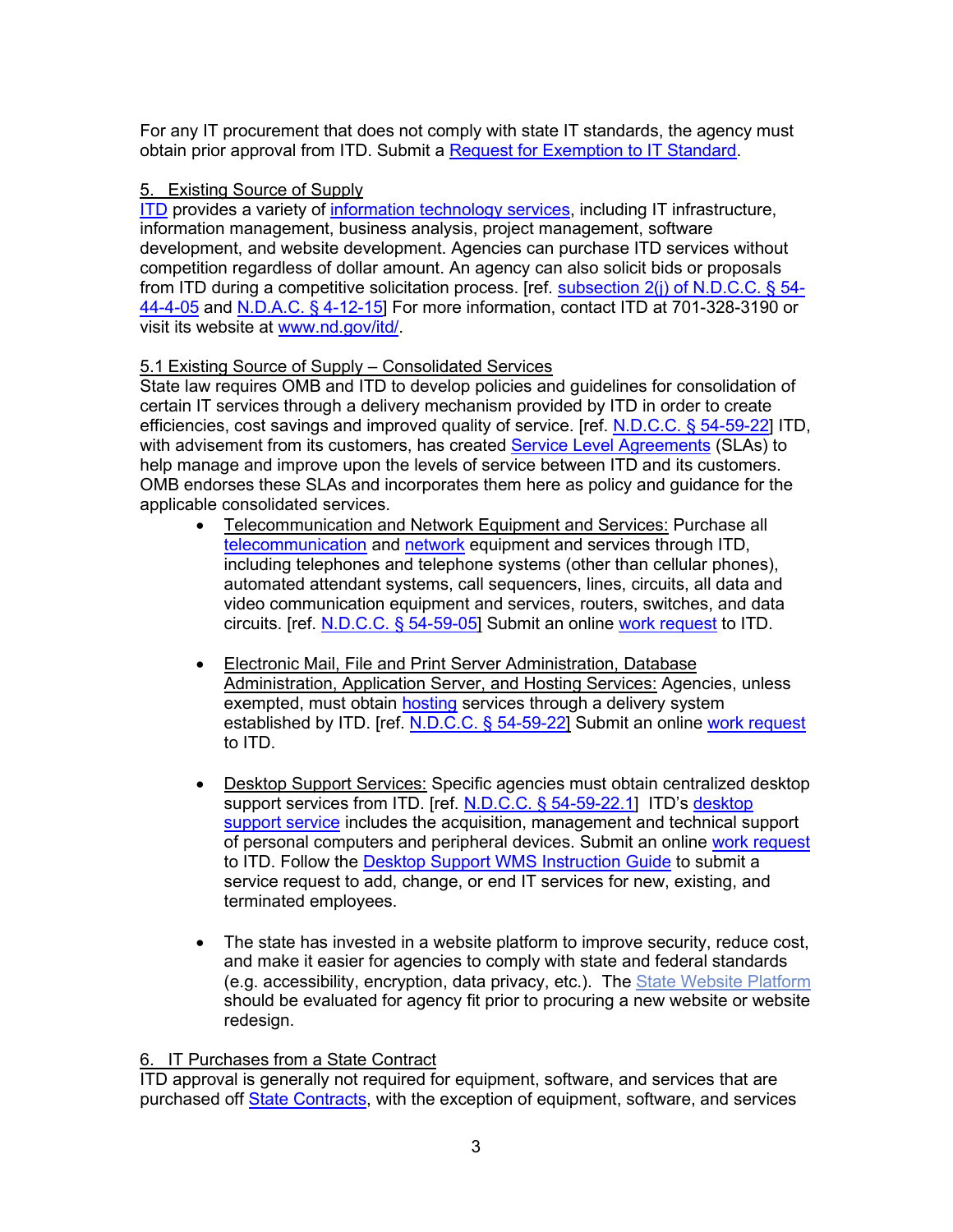For any IT procurement that does not comply with state IT standards, the agency must obtain prior approval from ITD. Submit a [Request for Exemption to IT Standard.](http://www.nd.gov/itd/requests-exemption)

# <span id="page-3-0"></span>5. Existing Source of Supply

[ITD](http://www.nd.gov/itd/) provides a variety of [information technology services,](http://www.nd.gov/itd/services) including IT infrastructure, information management, business analysis, project management, software development, and website development. Agencies can purchase ITD services without competition regardless of dollar amount. An agency can also solicit bids or proposals from ITD during a competitive solicitation process. [ref. subsection  $2(i)$  of N.D.C.C. § 54-[44-4-05](http://www.legis.nd.gov/cencode/t54c44-4.pdf?20151203080716) and [N.D.A.C. §](http://www.legis.nd.gov/information/acdata/pdf/4-12-15.pdf?20151203081405) 4-12-15] For more information, contact ITD at 701-328-3190 or visit its website at [www.nd.gov/itd/.](http://www.nd.gov/itd/)

# <span id="page-3-1"></span>5.1 Existing Source of Supply – Consolidated Services

State law requires OMB and ITD to develop policies and guidelines for consolidation of certain IT services through a delivery mechanism provided by ITD in order to create efficiencies, cost savings and improved quality of service. [ref. [N.D.C.C. §](http://www.legis.nd.gov/cencode/t54c59.pdf?20130705151814) 54-59-22] ITD, with advisement from its customers, has created [Service Level Agreements](http://www.nd.gov/itd/support/service-level-agreements) (SLAs) to help manage and improve upon the levels of service between ITD and its customers. OMB endorses these SLAs and incorporates them here as policy and guidance for the applicable consolidated services.

- Telecommunication and Network Equipment and Services: Purchase all [telecommunication](http://www.nd.gov/itd/services/communication) and [network](http://www.nd.gov/itd/services/network) equipment and services through ITD, including telephones and telephone systems (other than cellular phones), automated attendant systems, call sequencers, lines, circuits, all data and video communication equipment and services, routers, switches, and data circuits. [ref. [N.D.C.C. §](http://www.legis.nd.gov/cencode/t54c59.pdf?20130705151814) 54-59-05] Submit an online [work request](https://apps.nd.gov/itd/workorder/login.htm) to ITD.
- Electronic Mail, File and Print Server Administration, Database Administration, Application Server, and Hosting Services: Agencies, unless exempted, must obtain [hosting](http://www.nd.gov/itd/services/hosting) services through a delivery system established by ITD. [ref. [N.D.C.C. §](http://www.legis.nd.gov/cencode/t54c59.pdf?20130705151814) 54-59-22] Submit an online [work request](https://apps.nd.gov/itd/workorder/login.htm) to ITD.
- Desktop Support Services: Specific agencies must obtain centralized desktop support services from ITD. [ref. N.D.C.C. § [54-59-22.1\]](http://www.legis.nd.gov/cencode/t54c59.pdf?20130705151814) ITD's [desktop](http://www.nd.gov/itd/services/desktop-support)  [support service](http://www.nd.gov/itd/services/desktop-support) includes the acquisition, management and technical support of personal computers and peripheral devices. Submit an online [work request](https://apps.nd.gov/itd/workorder/login.htm) to ITD. Follow the [Desktop Support WMS Instruction Guide](http://www.nd.gov/itd/node/648) to submit a service request to add, change, or end IT services for new, existing, and terminated employees.
- The state has invested in a website platform to improve security, reduce cost, and make it easier for agencies to comply with state and federal standards (e.g. accessibility, encryption, data privacy, etc.). The [State Website Platform](https://www.digital.nd.gov/statewide-website-platform/) should be evaluated for agency fit prior to procuring a new website or website redesign.

# <span id="page-3-2"></span>6. IT Purchases from a State Contract

ITD approval is generally not required for equipment, software, and services that are purchased off [State Contracts,](https://apps.nd.gov/csd/spo/services/bidder/listCurrentContracts.htm) with the exception of equipment, software, and services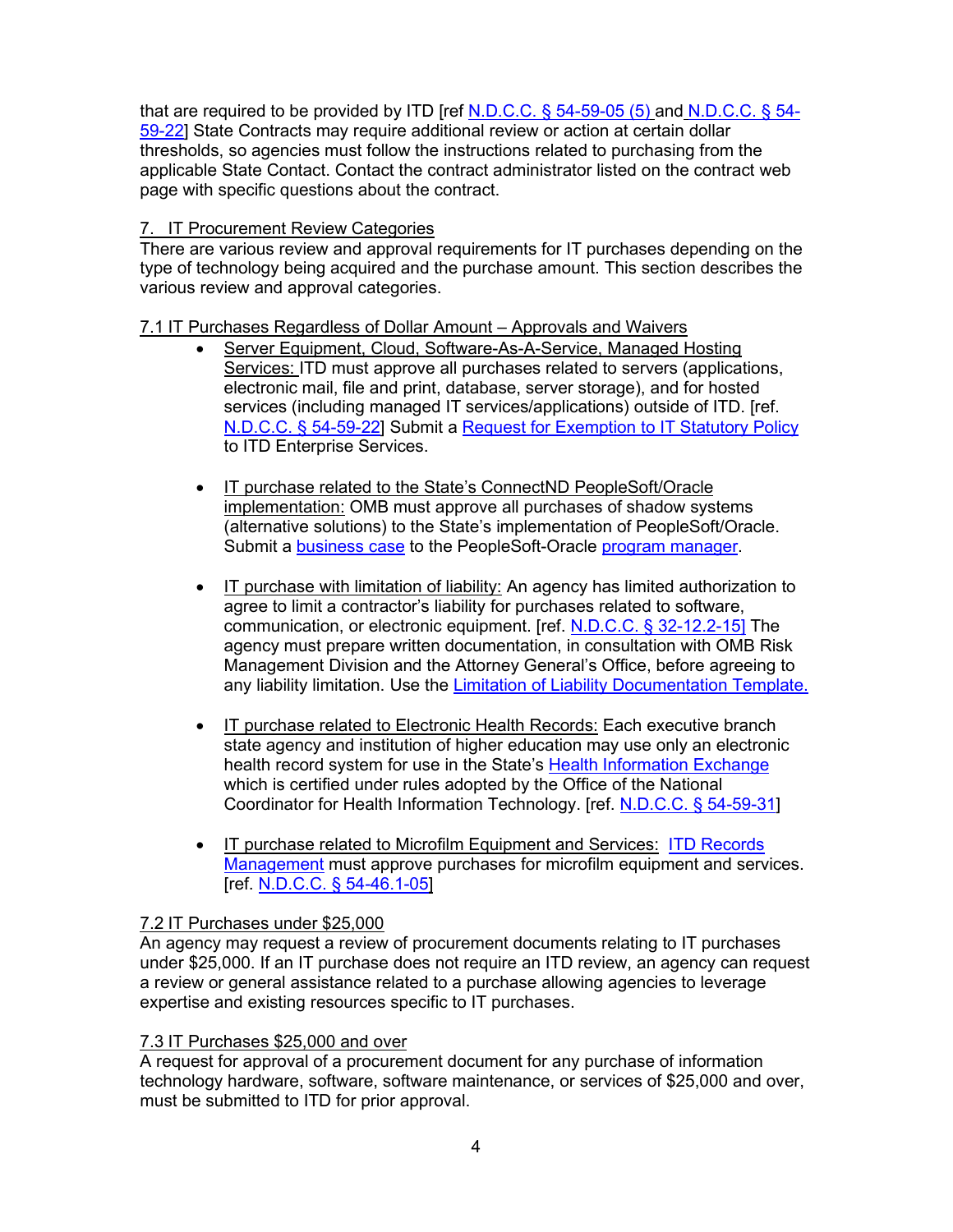that are required to be provided by ITD [ref N.D.C.C.  $\S$  [54-59-05 \(5\)](http://www.legis.nd.gov/cencode/t54c59.pdf?20151104082937) and N.D.C.C.  $\S$  54-[59-22\]](http://www.legis.nd.gov/cencode/t54c59.pdf?20130705151814) State Contracts may require additional review or action at certain dollar thresholds, so agencies must follow the instructions related to purchasing from the applicable State Contact. Contact the contract administrator listed on the contract web page with specific questions about the contract.

# <span id="page-4-0"></span>7. IT Procurement Review Categories

There are various review and approval requirements for IT purchases depending on the type of technology being acquired and the purchase amount. This section describes the various review and approval categories.

# <span id="page-4-1"></span>7.1 IT Purchases Regardless of Dollar Amount – Approvals and Waivers

- Server Equipment, Cloud, Software-As-A-Service, Managed Hosting Services: ITD must approve all purchases related to servers (applications, electronic mail, file and print, database, server storage), and for hosted services (including managed IT services/applications) outside of ITD. [ref. [N.D.C.C. §](http://www.legis.nd.gov/cencode/t54c59.pdf?20130705151814) 54-59-22] Submit a [Request for Exemption to IT Statutory Policy](http://www.nd.gov/itd/requests-exemption) to ITD Enterprise Services.
- IT purchase related to the State's ConnectND PeopleSoft/Oracle implementation: OMB must approve all purchases of shadow systems (alternative solutions) to the State's implementation of PeopleSoft/Oracle. Submit a [business case](http://www.nd.gov/eforms/Doc/sfn53847.pdf) to the PeopleSoft-Oracle [program manager.](mailto:jowohl@nd.gov)
- IT purchase with limitation of liability: An agency has limited authorization to agree to limit a contractor's liability for purchases related to software, communication, or electronic equipment. [ref. [N.D.C.C. §](http://www.legis.nd.gov/cencode/t32c12-2.pdf?20151125084829) 32-12.2-15] The agency must prepare written documentation, in consultation with OMB Risk Management Division and the Attorney General's Office, before agreeing to any liability limitation. Use the [Limitation of Liability Documentation Template.](https://www.nd.gov/omb/agency/procurement/templates)
- IT purchase related to Electronic Health Records: Each executive branch state agency and institution of higher education may use only an electronic health record system for use in the State's [Health Information Exchange](https://www.nd.gov/itd/statewide-alliances/ndhin) which is certified under rules adopted by the Office of the National Coordinator for Health Information Technology. [ref. [N.D.C.C. §](http://www.legis.nd.gov/cencode/t54c59.pdf?20130705151814) 54-59-31]
- IT purchase related to Microfilm Equipment and Services: [ITD Records](http://www.nd.gov/itd/services/records-management)  [Management](http://www.nd.gov/itd/services/records-management) must approve purchases for microfilm equipment and services. [ref. N.D.C.C. § [54-46.1-05\]](http://www.legis.nd.gov/cencode/t54c46-1.pdf?20151109075140)

# <span id="page-4-2"></span>7.2 IT Purchases under \$25,000

An agency may request a review of procurement documents relating to IT purchases under \$25,000. If an IT purchase does not require an ITD review, an agency can request a review or general assistance related to a purchase allowing agencies to leverage expertise and existing resources specific to IT purchases.

# <span id="page-4-3"></span>7.3 IT Purchases \$25,000 and over

A request for approval of a procurement document for any purchase of information technology hardware, software, software maintenance, or services of \$25,000 and over, must be submitted to ITD for prior approval.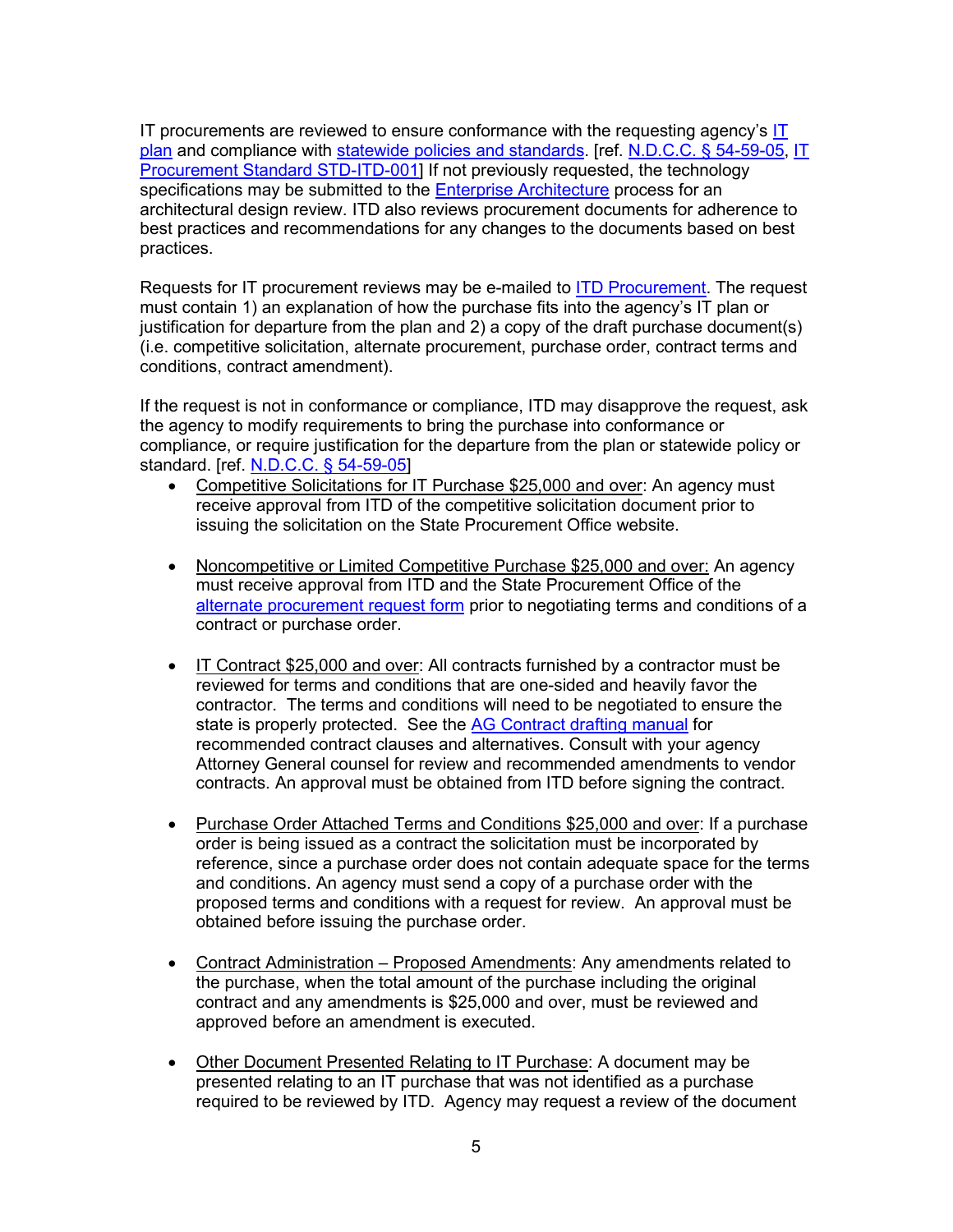IT procurements are reviewed to ensure conformance with the requesting agency's  $I\bar{I}$ [plan](http://www.nd.gov/itd/services/it-planning) and compliance with [statewide policies and standards.](http://www.nd.gov/itd/services/enterprise-architecture) [ref. [N.D.C.C. §](http://www.legis.nd.gov/cencode/t54c59.pdf?20130705151814) 54-59-05, [IT](http://www.nd.gov/itd/standards/information-technology-procurement)  [Procurement Standard STD-ITD-001\]](http://www.nd.gov/itd/standards/information-technology-procurement) If not previously requested, the technology specifications may be submitted to the [Enterprise Architecture](http://www.nd.gov/itd/services/enterprise-architecture) process for an architectural design review. ITD also reviews procurement documents for adherence to best practices and recommendations for any changes to the documents based on best practices.

Requests for IT procurement reviews may be e-mailed to [ITD Procurement.](mailto:ITDProcurement@nd.gov) The request must contain 1) an explanation of how the purchase fits into the agency's IT plan or justification for departure from the plan and 2) a copy of the draft purchase document(s) (i.e. competitive solicitation, alternate procurement, purchase order, contract terms and conditions, contract amendment).

If the request is not in conformance or compliance, ITD may disapprove the request, ask the agency to modify requirements to bring the purchase into conformance or compliance, or require justification for the departure from the plan or statewide policy or standard. [ref. [N.D.C.C. §](http://www.legis.nd.gov/cencode/t54c59.pdf?20130705151814) 54-59-05]

- Competitive Solicitations for IT Purchase \$25,000 and over: An agency must receive approval from ITD of the competitive solicitation document prior to issuing the solicitation on the State Procurement Office website.
- Noncompetitive or Limited Competitive Purchase \$25,000 and over: An agency must receive approval from ITD and the State Procurement Office of the [alternate procurement request form](https://www.nd.gov/omb/agency/procurement/alternate-procurements) prior to negotiating terms and conditions of a contract or purchase order.
- IT Contract \$25,000 and over: All contracts furnished by a contractor must be reviewed for terms and conditions that are one-sided and heavily favor the contractor. The terms and conditions will need to be negotiated to ensure the state is properly protected. See the [AG Contract drafting manual](https://attorneygeneral.nd.gov/attorney-generals-office/manuals-state-and-local-government-agencies) for recommended contract clauses and alternatives. Consult with your agency Attorney General counsel for review and recommended amendments to vendor contracts. An approval must be obtained from ITD before signing the contract.
- Purchase Order Attached Terms and Conditions \$25,000 and over: If a purchase order is being issued as a contract the solicitation must be incorporated by reference, since a purchase order does not contain adequate space for the terms and conditions. An agency must send a copy of a purchase order with the proposed terms and conditions with a request for review. An approval must be obtained before issuing the purchase order.
- Contract Administration Proposed Amendments: Any amendments related to the purchase, when the total amount of the purchase including the original contract and any amendments is \$25,000 and over, must be reviewed and approved before an amendment is executed.
- Other Document Presented Relating to IT Purchase: A document may be presented relating to an IT purchase that was not identified as a purchase required to be reviewed by ITD. Agency may request a review of the document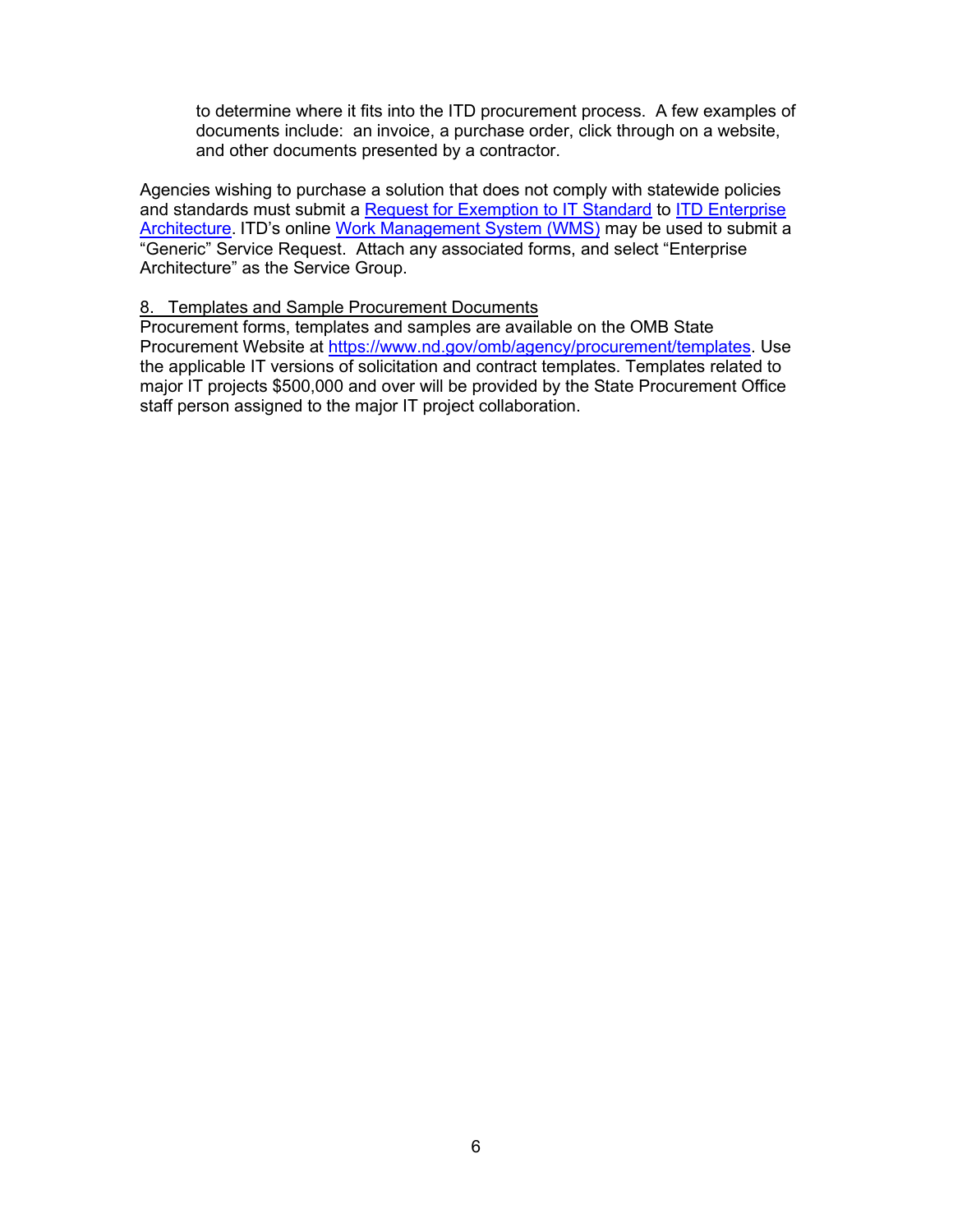to determine where it fits into the ITD procurement process. A few examples of documents include: an invoice, a purchase order, click through on a website, and other documents presented by a contractor.

Agencies wishing to purchase a solution that does not comply with statewide policies and standards must submit a [Request for Exemption to IT Standard](http://www.nd.gov/itd/requests-exemption) to [ITD Enterprise](http://www.nd.gov/itd/services/enterprise-architecture)  [Architecture.](http://www.nd.gov/itd/services/enterprise-architecture) ITD's online [Work Management System \(WMS\)](https://secure.intranetapps.nd.gov/itd/workorder/login.htm) may be used to submit a "Generic" Service Request. Attach any associated forms, and select "Enterprise Architecture" as the Service Group.

#### <span id="page-6-0"></span>8. Templates and Sample Procurement Documents

Procurement forms, templates and samples are available on the OMB State Procurement Website at [https://www.nd.gov/omb/agency/procurement/templates.](https://www.nd.gov/omb/agency/procurement/templates) Use the applicable IT versions of solicitation and contract templates. Templates related to major IT projects \$500,000 and over will be provided by the State Procurement Office staff person assigned to the major IT project collaboration.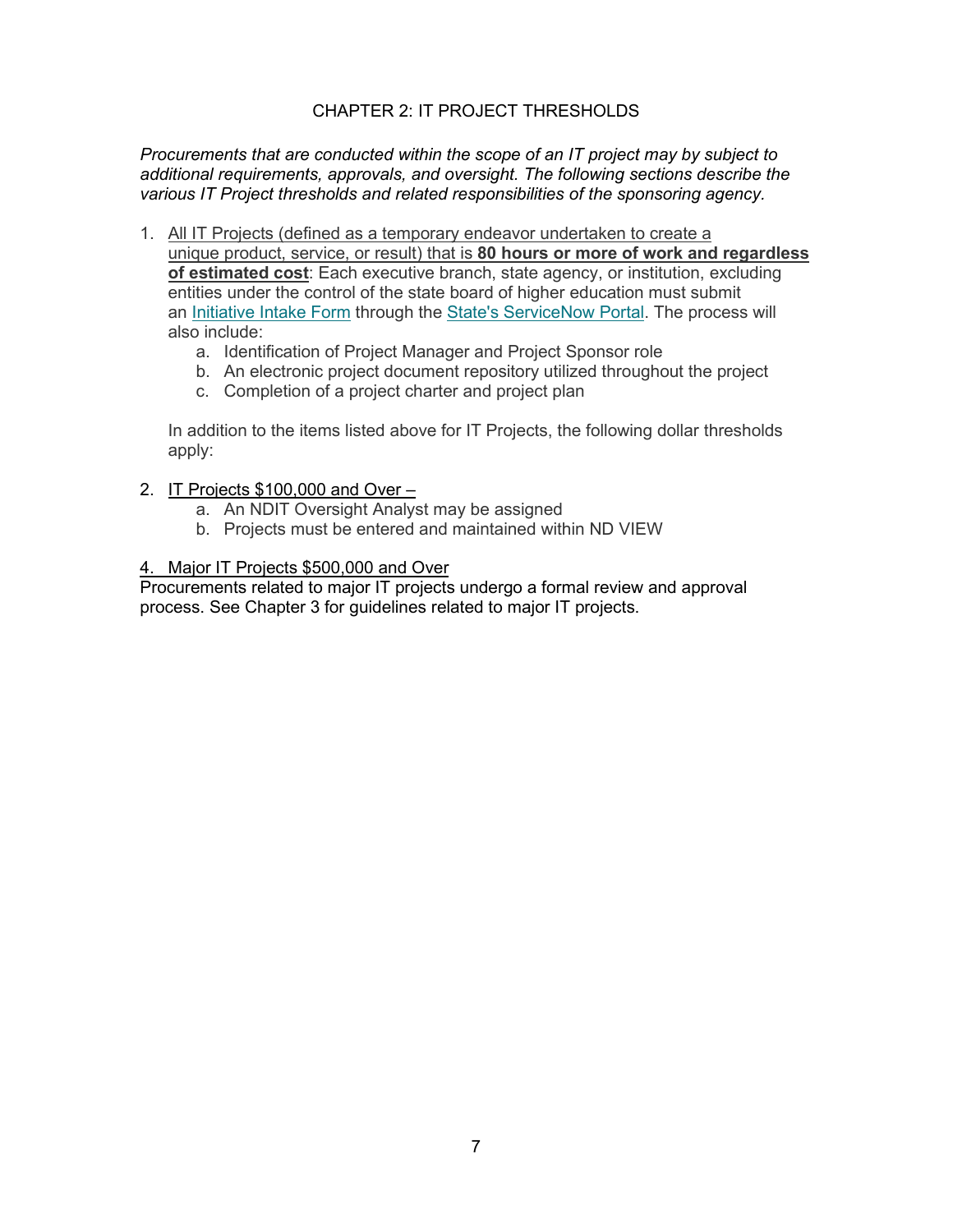# CHAPTER 2: IT PROJECT THRESHOLDS

<span id="page-7-0"></span>*Procurements that are conducted within the scope of an IT project may by subject to additional requirements, approvals, and oversight. The following sections describe the various IT Project thresholds and related responsibilities of the sponsoring agency.*

- <span id="page-7-1"></span>1. All IT Projects (defined as a temporary endeavor undertaken to create a unique product, service, or result) that is **80 hours or more of work and regardless of estimated cost**: Each executive branch, state agency, or institution, excluding entities under the control of the state board of higher education must submit an [Initiative Intake](https://northdakota.service-now.com/serviceportal?id=sc_cat_item&sys_id=1c8f909c1b8128102045fd16dc4bcb46&sysparm_category=569014e0dbd968106f6ae415ca9619b3) Form through the [State's ServiceNow Portal.](https://northdakota.service-now.com/serviceportal?id=sc_category) The process will also include:
	- a. Identification of Project Manager and Project Sponsor role
	- b. An electronic project document repository utilized throughout the project
	- c. Completion of a project charter and project plan

In addition to the items listed above for IT Projects, the following dollar thresholds apply:

- 2. IT Projects \$100,000 and Over
	- a. An NDIT Oversight Analyst may be assigned
	- b. Projects must be entered and maintained within ND VIEW

# <span id="page-7-2"></span>4. Major IT Projects \$500,000 and Over

Procurements related to major IT projects undergo a formal review and approval process. See Chapter 3 for guidelines related to major IT projects.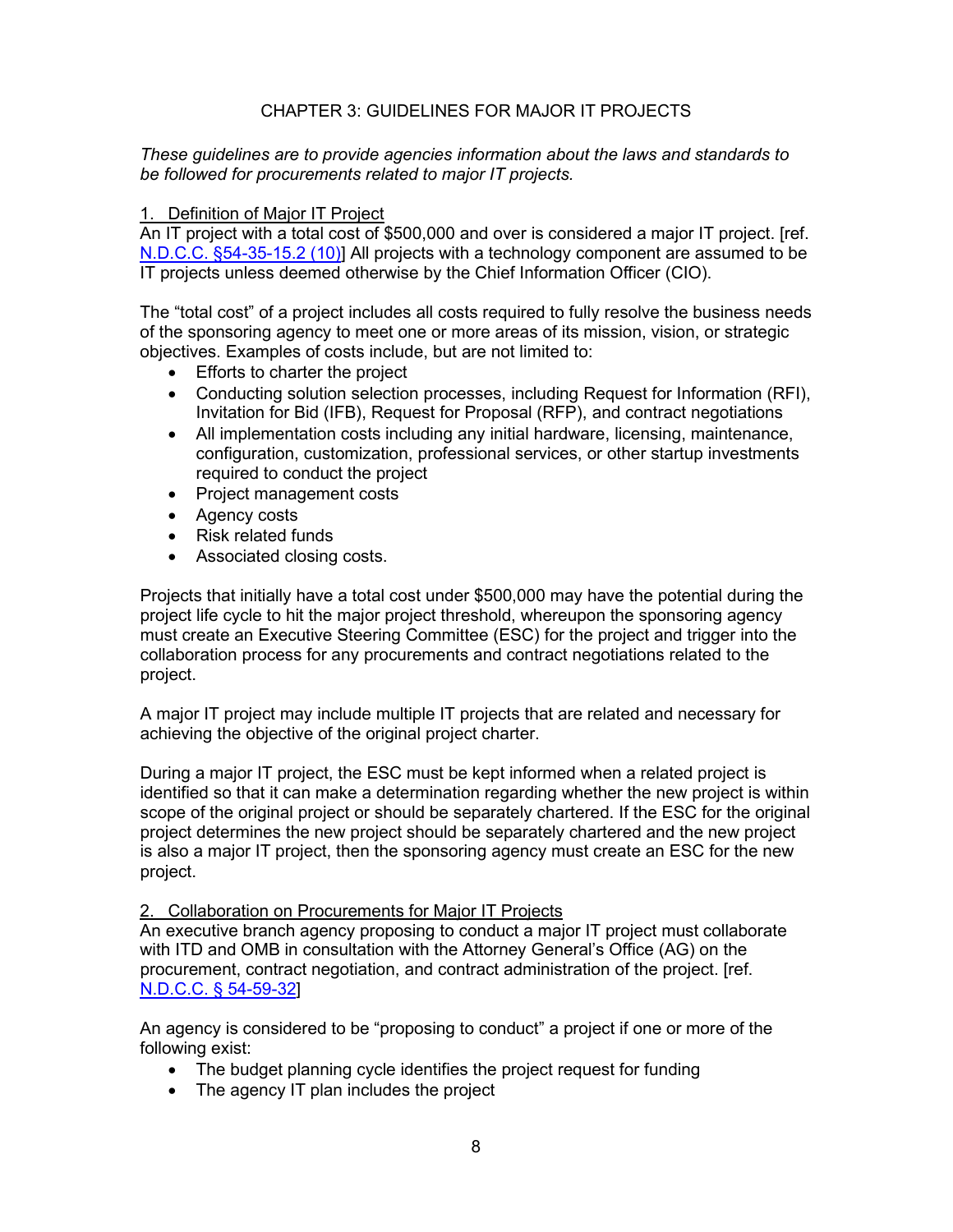# CHAPTER 3: GUIDELINES FOR MAJOR IT PROJECTS

<span id="page-8-0"></span>*These guidelines are to provide agencies information about the laws and standards to be followed for procurements related to major IT projects.*

# <span id="page-8-1"></span>1. Definition of Major IT Project

An IT project with a total cost of \$500,000 and over is considered a major IT project. [ref. [N.D.C.C. §54-35-15.2 \(10\)\]](http://www.legis.nd.gov/cencode/t54c35.pdf?20130705152150) All projects with a technology component are assumed to be IT projects unless deemed otherwise by the Chief Information Officer (CIO).

The "total cost" of a project includes all costs required to fully resolve the business needs of the sponsoring agency to meet one or more areas of its mission, vision, or strategic objectives. Examples of costs include, but are not limited to:

- Efforts to charter the project
- Conducting solution selection processes, including Request for Information (RFI), Invitation for Bid (IFB), Request for Proposal (RFP), and contract negotiations
- All implementation costs including any initial hardware, licensing, maintenance, configuration, customization, professional services, or other startup investments required to conduct the project
- Project management costs
- Agency costs
- Risk related funds
- Associated closing costs.

Projects that initially have a total cost under \$500,000 may have the potential during the project life cycle to hit the major project threshold, whereupon the sponsoring agency must create an Executive Steering Committee (ESC) for the project and trigger into the collaboration process for any procurements and contract negotiations related to the project.

A major IT project may include multiple IT projects that are related and necessary for achieving the objective of the original project charter.

During a major IT project, the ESC must be kept informed when a related project is identified so that it can make a determination regarding whether the new project is within scope of the original project or should be separately chartered. If the ESC for the original project determines the new project should be separately chartered and the new project is also a major IT project, then the sponsoring agency must create an ESC for the new project.

<span id="page-8-2"></span>2. Collaboration on Procurements for Major IT Projects

An executive branch agency proposing to conduct a major IT project must collaborate with ITD and OMB in consultation with the Attorney General's Office (AG) on the procurement, contract negotiation, and contract administration of the project. [ref. [N.D.C.C. §](http://www.legis.nd.gov/cencode/t54c59.pdf?20130705151814) 54-59-32]

An agency is considered to be "proposing to conduct" a project if one or more of the following exist:

- The budget planning cycle identifies the project request for funding
- The agency IT plan includes the project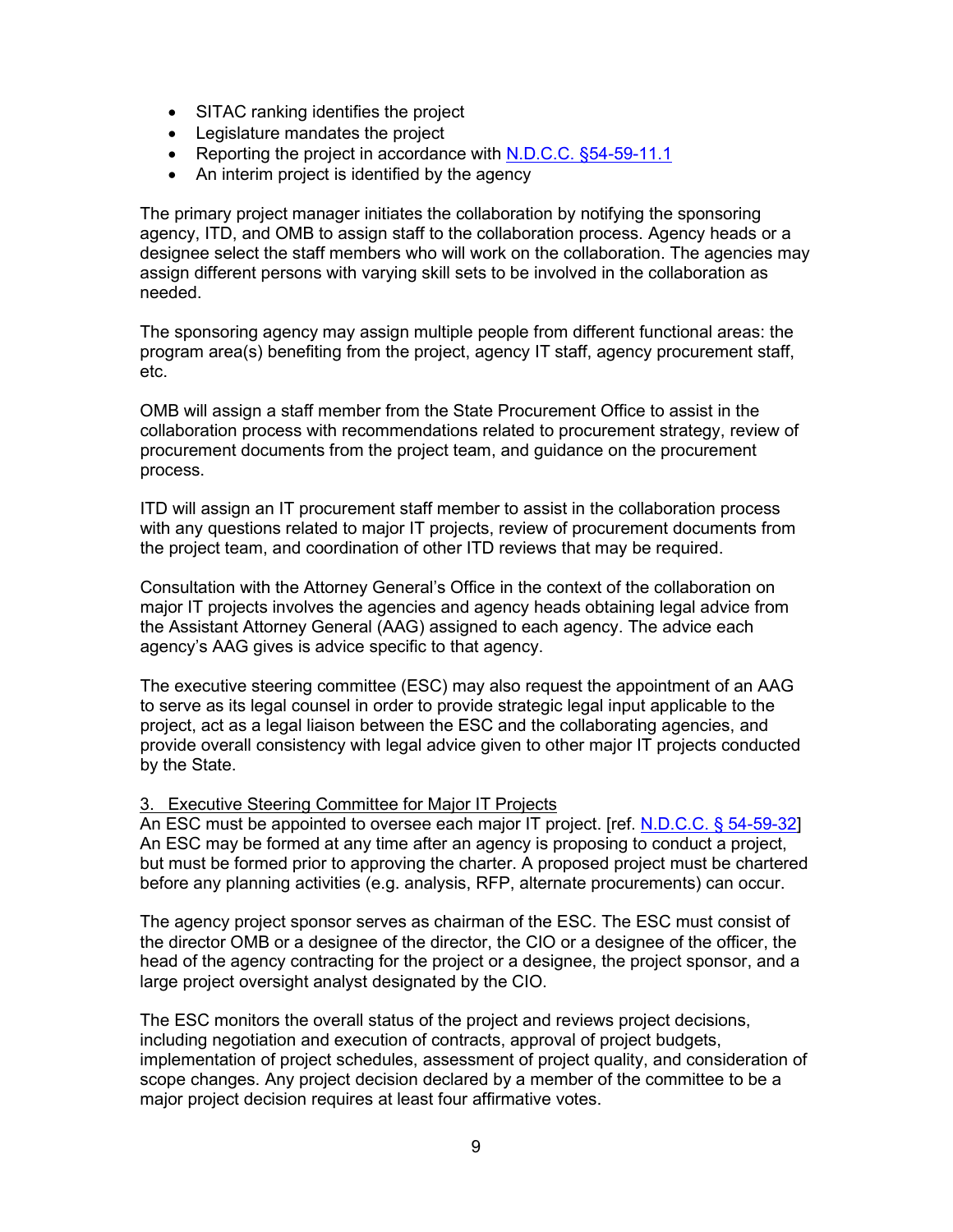- SITAC ranking identifies the project
- Legislature mandates the project
- Reporting the project in accordance with [N.D.C.C. §54-59-11.1](http://www.legis.nd.gov/cencode/t54c59.pdf?20130705151814)
- An interim project is identified by the agency

The primary project manager initiates the collaboration by notifying the sponsoring agency, ITD, and OMB to assign staff to the collaboration process. Agency heads or a designee select the staff members who will work on the collaboration. The agencies may assign different persons with varying skill sets to be involved in the collaboration as needed.

The sponsoring agency may assign multiple people from different functional areas: the program area(s) benefiting from the project, agency IT staff, agency procurement staff, etc.

OMB will assign a staff member from the State Procurement Office to assist in the collaboration process with recommendations related to procurement strategy, review of procurement documents from the project team, and guidance on the procurement process.

ITD will assign an IT procurement staff member to assist in the collaboration process with any questions related to major IT projects, review of procurement documents from the project team, and coordination of other ITD reviews that may be required.

Consultation with the Attorney General's Office in the context of the collaboration on major IT projects involves the agencies and agency heads obtaining legal advice from the Assistant Attorney General (AAG) assigned to each agency. The advice each agency's AAG gives is advice specific to that agency.

The executive steering committee (ESC) may also request the appointment of an AAG to serve as its legal counsel in order to provide strategic legal input applicable to the project, act as a legal liaison between the ESC and the collaborating agencies, and provide overall consistency with legal advice given to other major IT projects conducted by the State.

#### <span id="page-9-0"></span>3. Executive Steering Committee for Major IT Projects

An ESC must be appointed to oversee each major IT project. [ref. [N.D.C.C. §](http://www.legis.nd.gov/cencode/t54c59.pdf?20130705151814) 54-59-32] An ESC may be formed at any time after an agency is proposing to conduct a project, but must be formed prior to approving the charter. A proposed project must be chartered before any planning activities (e.g. analysis, RFP, alternate procurements) can occur.

The agency project sponsor serves as chairman of the ESC. The ESC must consist of the director OMB or a designee of the director, the CIO or a designee of the officer, the head of the agency contracting for the project or a designee, the project sponsor, and a large project oversight analyst designated by the CIO.

The ESC monitors the overall status of the project and reviews project decisions, including negotiation and execution of contracts, approval of project budgets, implementation of project schedules, assessment of project quality, and consideration of scope changes. Any project decision declared by a member of the committee to be a major project decision requires at least four affirmative votes.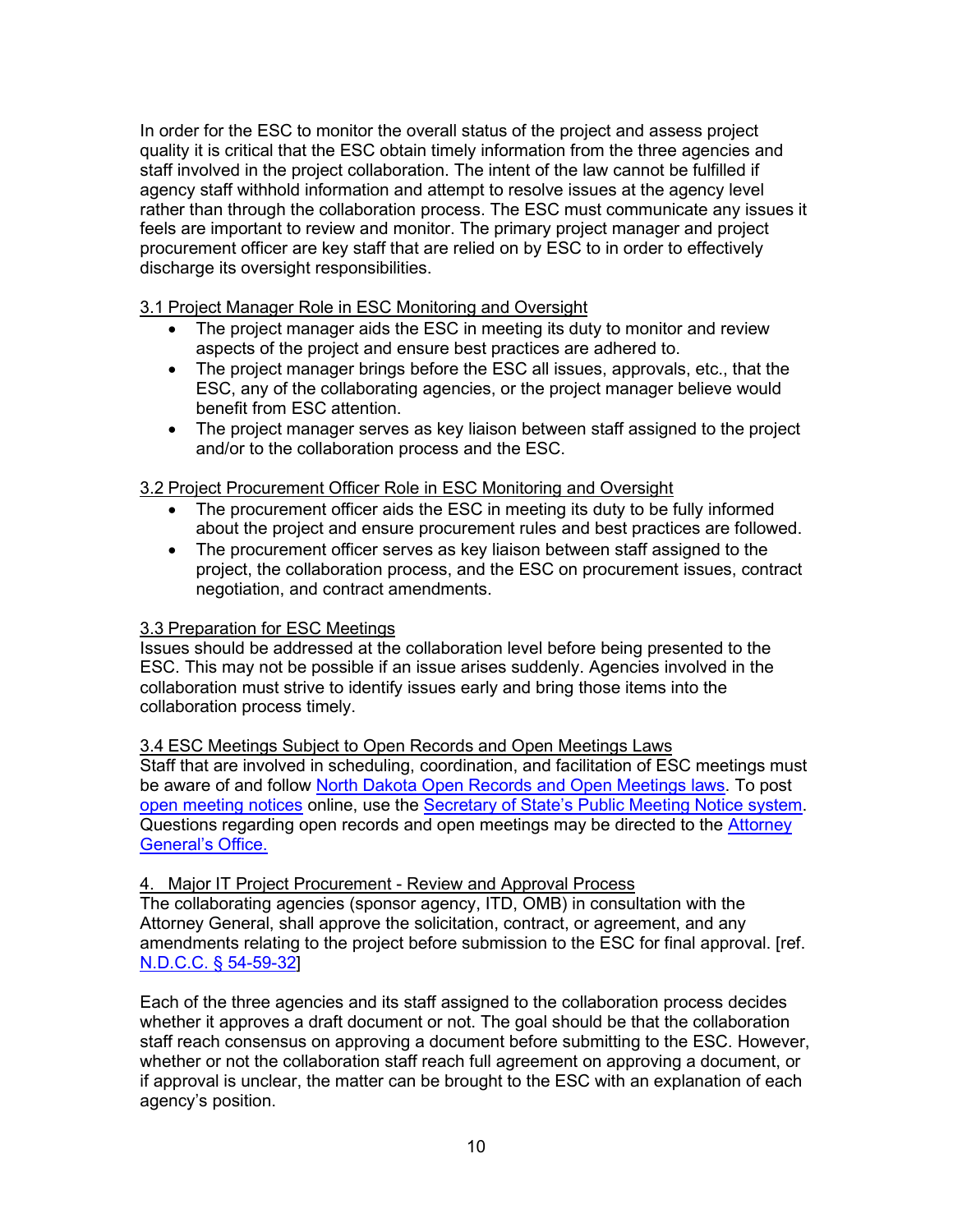In order for the ESC to monitor the overall status of the project and assess project quality it is critical that the ESC obtain timely information from the three agencies and staff involved in the project collaboration. The intent of the law cannot be fulfilled if agency staff withhold information and attempt to resolve issues at the agency level rather than through the collaboration process. The ESC must communicate any issues it feels are important to review and monitor. The primary project manager and project procurement officer are key staff that are relied on by ESC to in order to effectively discharge its oversight responsibilities.

<span id="page-10-0"></span>3.1 Project Manager Role in ESC Monitoring and Oversight

- The project manager aids the ESC in meeting its duty to monitor and review aspects of the project and ensure best practices are adhered to.
- The project manager brings before the ESC all issues, approvals, etc., that the ESC, any of the collaborating agencies, or the project manager believe would benefit from ESC attention.
- The project manager serves as key liaison between staff assigned to the project and/or to the collaboration process and the ESC.

# <span id="page-10-1"></span>3.2 Project Procurement Officer Role in ESC Monitoring and Oversight

- The procurement officer aids the ESC in meeting its duty to be fully informed about the project and ensure procurement rules and best practices are followed.
- The procurement officer serves as key liaison between staff assigned to the project, the collaboration process, and the ESC on procurement issues, contract negotiation, and contract amendments.

# <span id="page-10-2"></span>3.3 Preparation for ESC Meetings

Issues should be addressed at the collaboration level before being presented to the ESC. This may not be possible if an issue arises suddenly. Agencies involved in the collaboration must strive to identify issues early and bring those items into the collaboration process timely.

<span id="page-10-3"></span>3.4 ESC Meetings Subject to Open Records and Open Meetings Laws Staff that are involved in scheduling, coordination, and facilitation of ESC meetings must be aware of and follow [North Dakota Open Records and Open Meetings laws.](https://attorneygeneral.nd.gov/open-records-meetings) To post [open meeting notices](https://attorneygeneral.nd.gov/open-records-meetings) online, use the [Secretary of State's Public Meeting Notice system.](https://intranetapps.nd.gov/sos/ndpmn/mainmenu.htm) Questions regarding open records and open meetings may be directed to the [Attorney](https://attorneygeneral.nd.gov/new-attorney-general-website)  [General's Office.](https://attorneygeneral.nd.gov/new-attorney-general-website)

# <span id="page-10-4"></span>4. Major IT Project Procurement - Review and Approval Process

The collaborating agencies (sponsor agency, ITD, OMB) in consultation with the Attorney General, shall approve the solicitation, contract, or agreement, and any amendments relating to the project before submission to the ESC for final approval. [ref. [N.D.C.C. §](http://www.legis.nd.gov/cencode/t54c59.pdf?20130705151814) 54-59-32]

Each of the three agencies and its staff assigned to the collaboration process decides whether it approves a draft document or not. The goal should be that the collaboration staff reach consensus on approving a document before submitting to the ESC. However, whether or not the collaboration staff reach full agreement on approving a document, or if approval is unclear, the matter can be brought to the ESC with an explanation of each agency's position.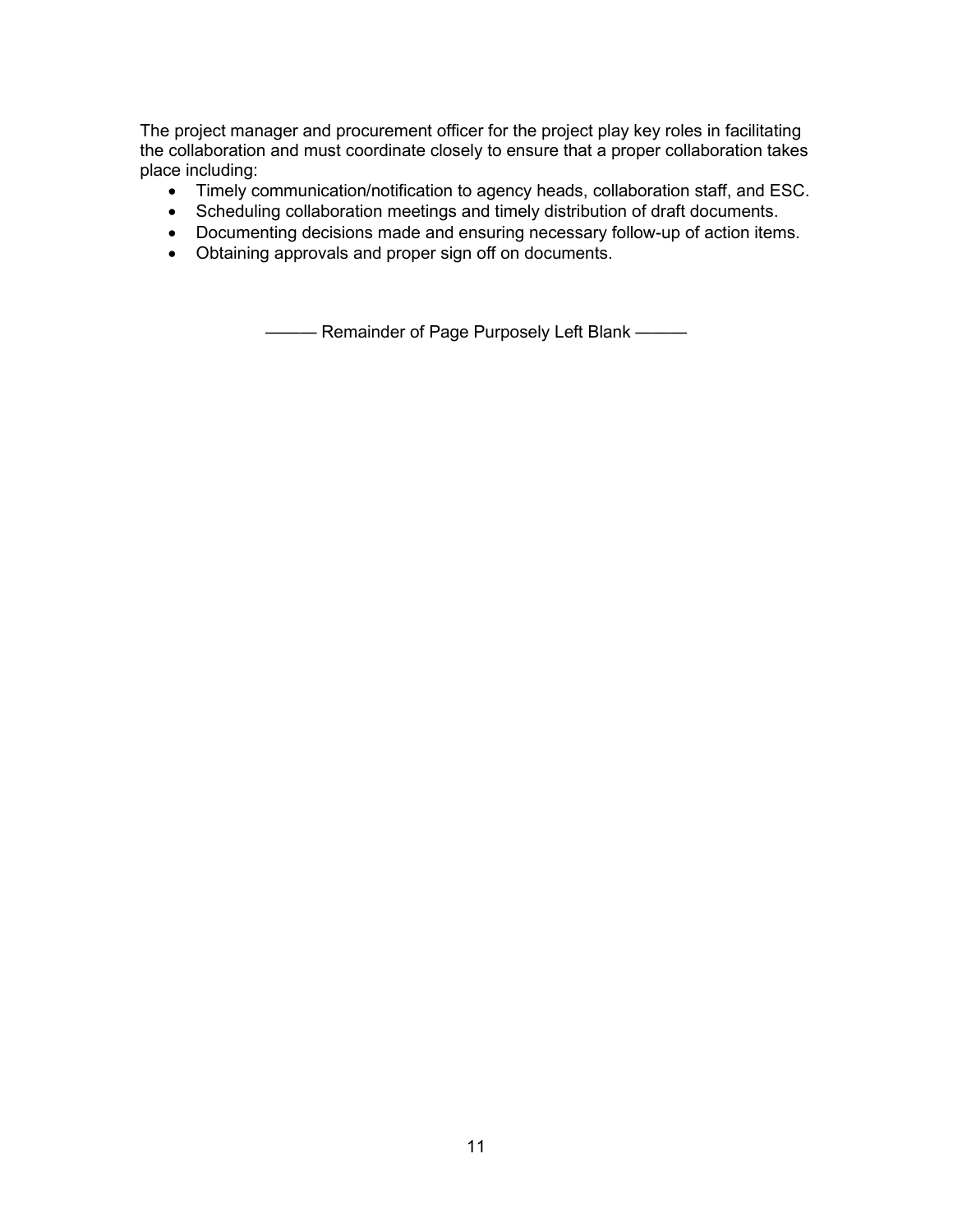The project manager and procurement officer for the project play key roles in facilitating the collaboration and must coordinate closely to ensure that a proper collaboration takes place including:

- Timely communication/notification to agency heads, collaboration staff, and ESC.
- Scheduling collaboration meetings and timely distribution of draft documents.
- Documenting decisions made and ensuring necessary follow-up of action items.
- Obtaining approvals and proper sign off on documents.

——— Remainder of Page Purposely Left Blank ———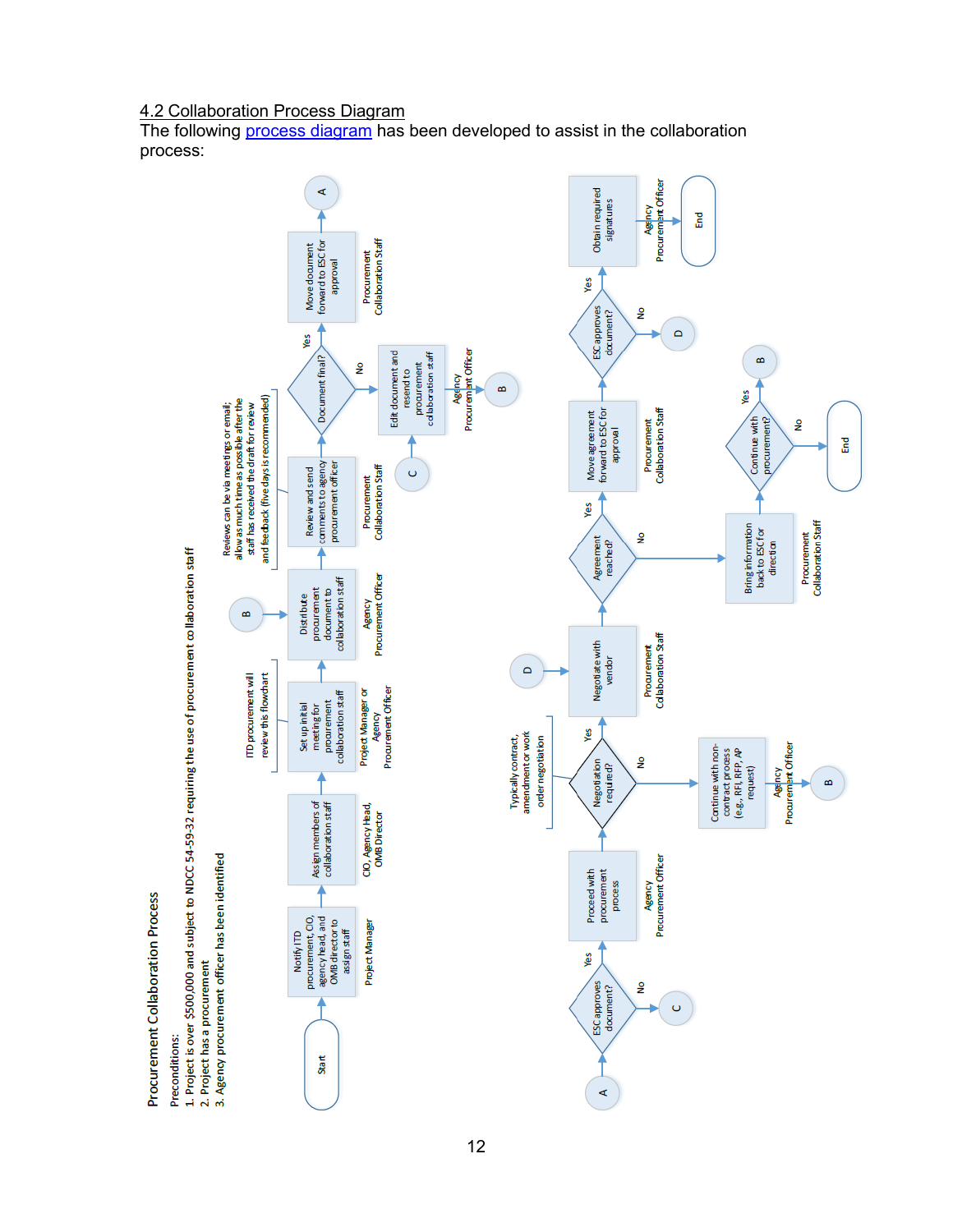# <span id="page-12-0"></span>4.2 Collaboration Process Diagram

The following [process diagram](http://www.nd.gov/itd/sites/itd/files/legacy/services/procure/Procurement_Collaboration_Process_for_Large_Projects.pdf) has been developed to assist in the collaboration process:

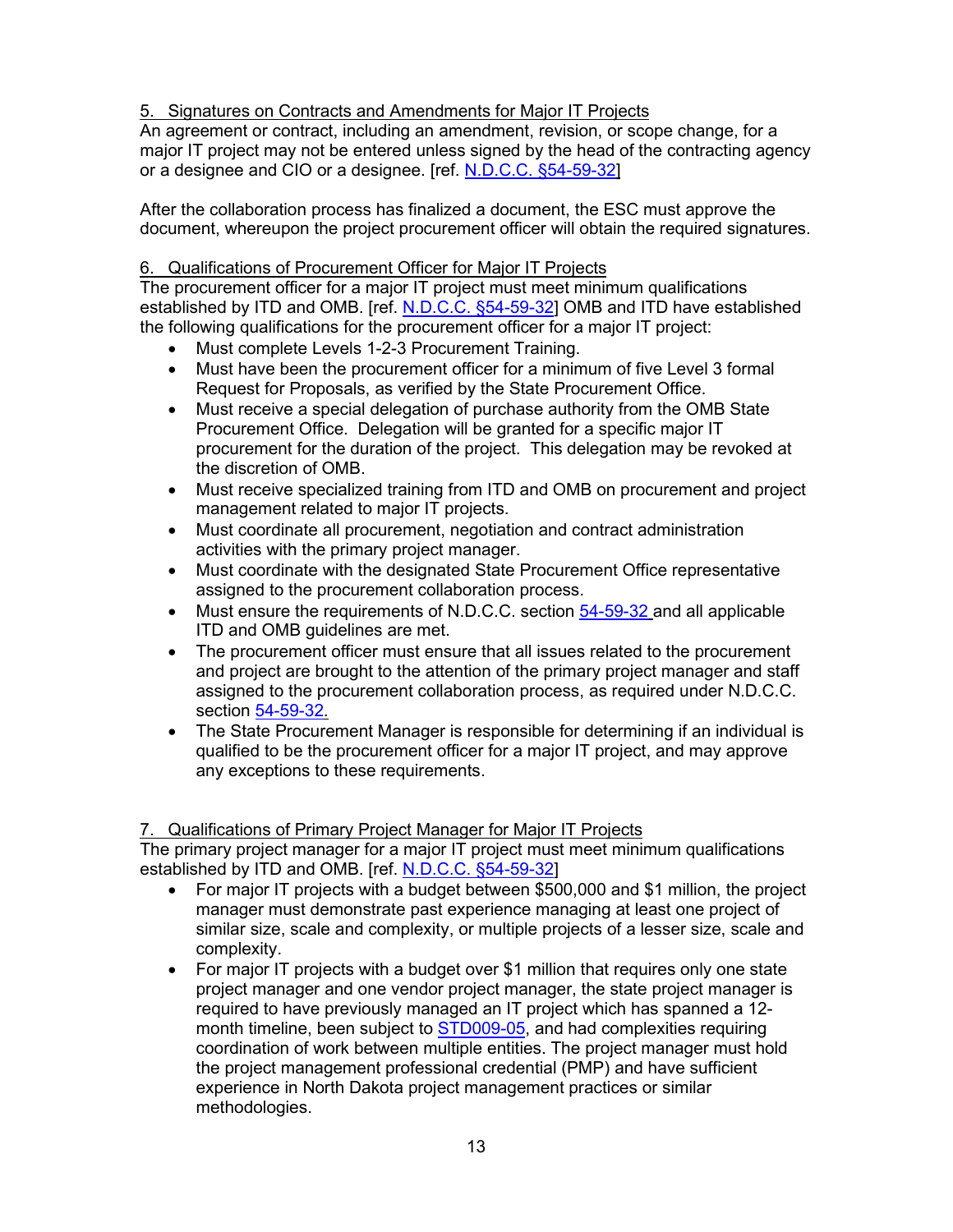# <span id="page-13-0"></span>5. Signatures on Contracts and Amendments for Major IT Projects

An agreement or contract, including an amendment, revision, or scope change, for a major IT project may not be entered unless signed by the head of the contracting agency or a designee and CIO or a designee. [ref. N.D.C.C. §54-59-32]

After the collaboration process has finalized a document, the ESC must approve the document, whereupon the project procurement officer will obtain the required signatures.

# <span id="page-13-1"></span>6. Qualifications of Procurement Officer for Major IT Projects

The procurement officer for a major IT project must meet minimum qualifications established by ITD and OMB. [ref. N.D.C.C. §54-59-32] OMB and ITD have established the following qualifications for the procurement officer for a major IT project:

- Must complete Levels 1-2-3 Procurement Training.
- Must have been the procurement officer for a minimum of five Level 3 formal Request for Proposals, as verified by the State Procurement Office.
- Must receive a special delegation of purchase authority from the OMB State Procurement Office. Delegation will be granted for a specific major IT procurement for the duration of the project. This delegation may be revoked at the discretion of OMB.
- Must receive specialized training from ITD and OMB on procurement and project management related to major IT projects.
- Must coordinate all procurement, negotiation and contract administration activities with the primary project manager.
- Must coordinate with the designated State Procurement Office representative assigned to the procurement collaboration process.
- Must ensure the requirements of N.D.C.C. section  $54-59-32$  and all applicable ITD and OMB guidelines are met.
- The procurement officer must ensure that all issues related to the procurement and project are brought to the attention of the primary project manager and staff assigned to the procurement collaboration process, as required under N.D.C.C. section 54-59-32.
- The State Procurement Manager is responsible for determining if an individual is qualified to be the procurement officer for a major IT project, and may approve any exceptions to these requirements.

# <span id="page-13-2"></span>7. Qualifications of Primary Project Manager for Major IT Projects

The primary project manager for a major IT project must meet minimum qualifications established by ITD and OMB. [ref. N.D.C.C. §54-59-32]

- For major IT projects with a budget between \$500,000 and \$1 million, the project manager must demonstrate past experience managing at least one project of similar size, scale and complexity, or multiple projects of a lesser size, scale and complexity.
- For major IT projects with a budget over \$1 million that requires only one state project manager and one vendor project manager, the state project manager is required to have previously managed an IT project which has spanned a 12 month timeline, been subject to STD009-05, and had complexities requiring coordination of work between multiple entities. The project manager must hold the project management professional credential (PMP) and have sufficient experience in North Dakota project management practices or similar methodologies.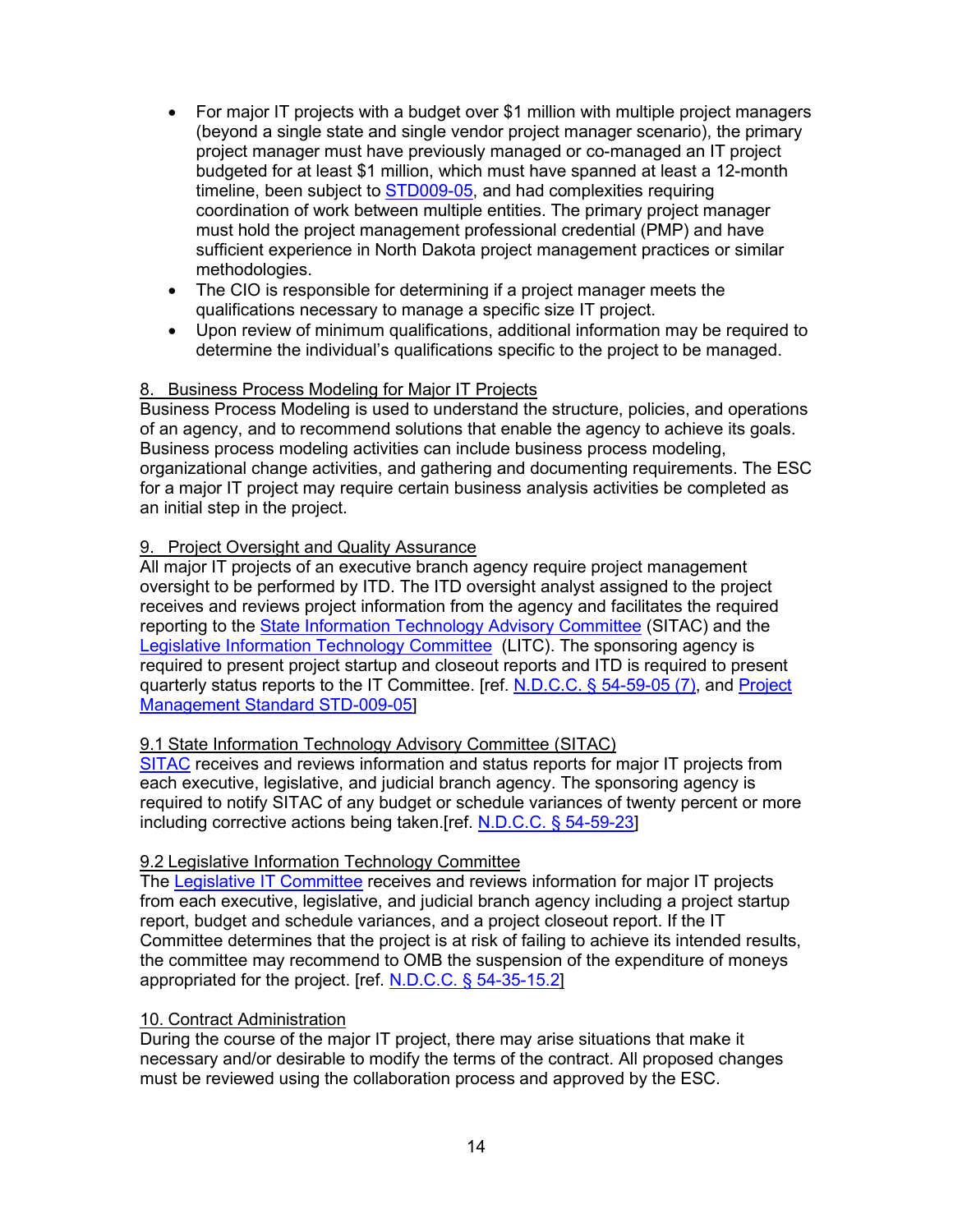- For major IT projects with a budget over \$1 million with multiple project managers (beyond a single state and single vendor project manager scenario), the primary project manager must have previously managed or co-managed an IT project budgeted for at least \$1 million, which must have spanned at least a 12-month timeline, been subject to STD009-05, and had complexities requiring coordination of work between multiple entities. The primary project manager must hold the project management professional credential (PMP) and have sufficient experience in North Dakota project management practices or similar methodologies.
- The CIO is responsible for determining if a project manager meets the qualifications necessary to manage a specific size IT project.
- Upon review of minimum qualifications, additional information may be required to determine the individual's qualifications specific to the project to be managed.

# <span id="page-14-0"></span>8. Business Process Modeling for Major IT Projects

Business Process Modeling is used to understand the structure, policies, and operations of an agency, and to recommend solutions that enable the agency to achieve its goals. Business process modeling activities can include business process modeling, organizational change activities, and gathering and documenting requirements. The ESC for a major IT project may require certain business analysis activities be completed as an initial step in the project.

# <span id="page-14-1"></span>9. Project Oversight and Quality Assurance

All major IT projects of an executive branch agency require project management oversight to be performed by ITD. The ITD oversight analyst assigned to the project receives and reviews project information from the agency and facilitates the required reporting to the State Information Technology Advisory Committee (SITAC) and the Legislative Information Technology Committee (LITC). The sponsoring agency is required to present project startup and closeout reports and ITD is required to present quarterly status reports to the IT Committee. [ref. N.D.C.C. § 54-59-05 (7), and Project Management Standard STD-009-05]

# <span id="page-14-2"></span>9.1 State Information Technology Advisory Committee (SITAC)

SITAC receives and reviews information and status reports for major IT projects from each executive, legislative, and judicial branch agency. The sponsoring agency is required to notify SITAC of any budget or schedule variances of twenty percent or more including corrective actions being taken.[ref. N.D.C.C. § 54-59-23]

# <span id="page-14-3"></span>9.2 Legislative Information Technology Committee

The Legislative IT Committee receives and reviews information for major IT projects from each executive, legislative, and judicial branch agency including a project startup report, budget and schedule variances, and a project closeout report. If the IT Committee determines that the project is at risk of failing to achieve its intended results, the committee may recommend to OMB the suspension of the expenditure of moneys appropriated for the project. [ref. N.D.C.C. § 54-35-15.2]

# <span id="page-14-4"></span>10. Contract Administration

During the course of the major IT project, there may arise situations that make it necessary and/or desirable to modify the terms of the contract. All proposed changes must be reviewed using the collaboration process and approved by the ESC.